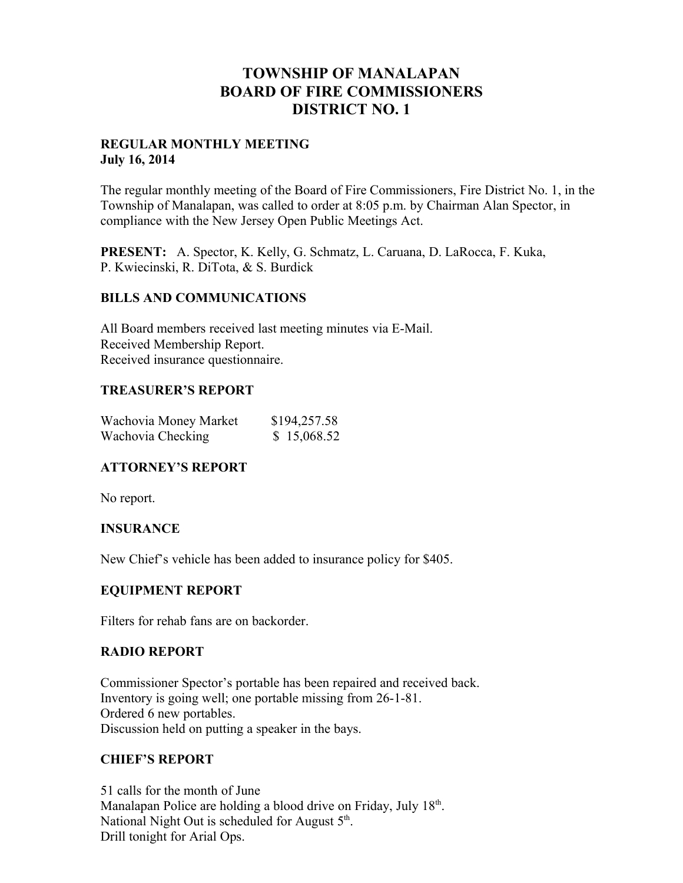# **TOWNSHIP OF MANALAPAN BOARD OF FIRE COMMISSIONERS DISTRICT NO. 1**

### **REGULAR MONTHLY MEETING July 16, 2014**

The regular monthly meeting of the Board of Fire Commissioners, Fire District No. 1, in the Township of Manalapan, was called to order at 8:05 p.m. by Chairman Alan Spector, in compliance with the New Jersey Open Public Meetings Act.

**PRESENT:** A. Spector, K. Kelly, G. Schmatz, L. Caruana, D. LaRocca, F. Kuka, P. Kwiecinski, R. DiTota, & S. Burdick

### **BILLS AND COMMUNICATIONS**

All Board members received last meeting minutes via E-Mail. Received Membership Report. Received insurance questionnaire.

## **TREASURER'S REPORT**

| Wachovia Money Market | \$194,257.58 |
|-----------------------|--------------|
| Wachovia Checking     | \$15,068.52  |

# **ATTORNEY'S REPORT**

No report.

# **INSURANCE**

New Chief's vehicle has been added to insurance policy for \$405.

### **EQUIPMENT REPORT**

Filters for rehab fans are on backorder.

### **RADIO REPORT**

Commissioner Spector's portable has been repaired and received back. Inventory is going well; one portable missing from 26-1-81. Ordered 6 new portables. Discussion held on putting a speaker in the bays.

# **CHIEF'S REPORT**

51 calls for the month of June Manalapan Police are holding a blood drive on Friday, July 18<sup>th</sup>. National Night Out is scheduled for August  $5<sup>th</sup>$ . Drill tonight for Arial Ops.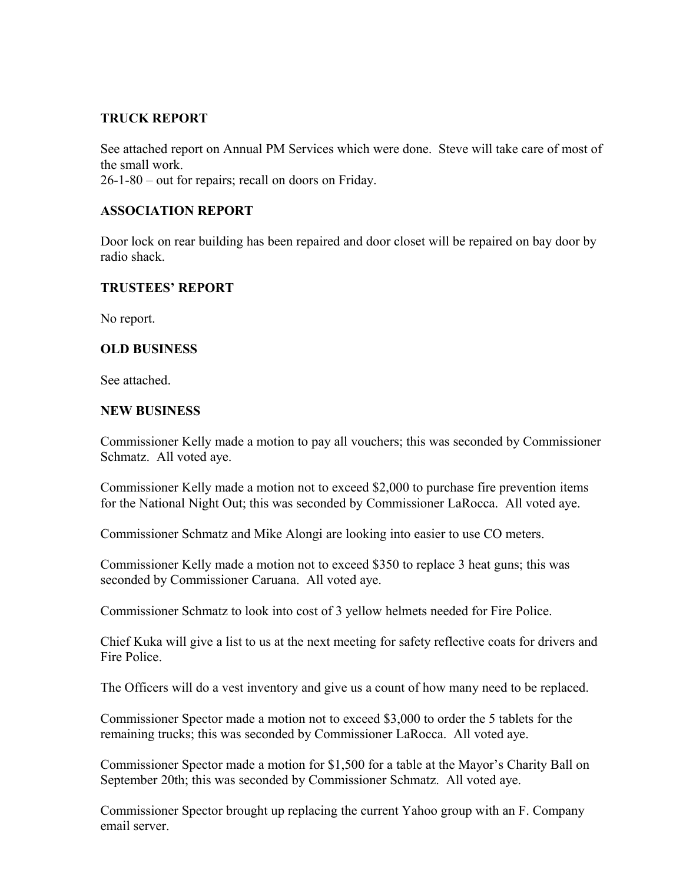## **TRUCK REPORT**

See attached report on Annual PM Services which were done. Steve will take care of most of the small work.

26-1-80 – out for repairs; recall on doors on Friday.

## **ASSOCIATION REPORT**

Door lock on rear building has been repaired and door closet will be repaired on bay door by radio shack.

## **TRUSTEES' REPORT**

No report.

## **OLD BUSINESS**

See attached.

### **NEW BUSINESS**

Commissioner Kelly made a motion to pay all vouchers; this was seconded by Commissioner Schmatz. All voted aye.

Commissioner Kelly made a motion not to exceed \$2,000 to purchase fire prevention items for the National Night Out; this was seconded by Commissioner LaRocca. All voted aye.

Commissioner Schmatz and Mike Alongi are looking into easier to use CO meters.

Commissioner Kelly made a motion not to exceed \$350 to replace 3 heat guns; this was seconded by Commissioner Caruana. All voted aye.

Commissioner Schmatz to look into cost of 3 yellow helmets needed for Fire Police.

Chief Kuka will give a list to us at the next meeting for safety reflective coats for drivers and Fire Police.

The Officers will do a vest inventory and give us a count of how many need to be replaced.

Commissioner Spector made a motion not to exceed \$3,000 to order the 5 tablets for the remaining trucks; this was seconded by Commissioner LaRocca. All voted aye.

Commissioner Spector made a motion for \$1,500 for a table at the Mayor's Charity Ball on September 20th; this was seconded by Commissioner Schmatz. All voted aye.

Commissioner Spector brought up replacing the current Yahoo group with an F. Company email server.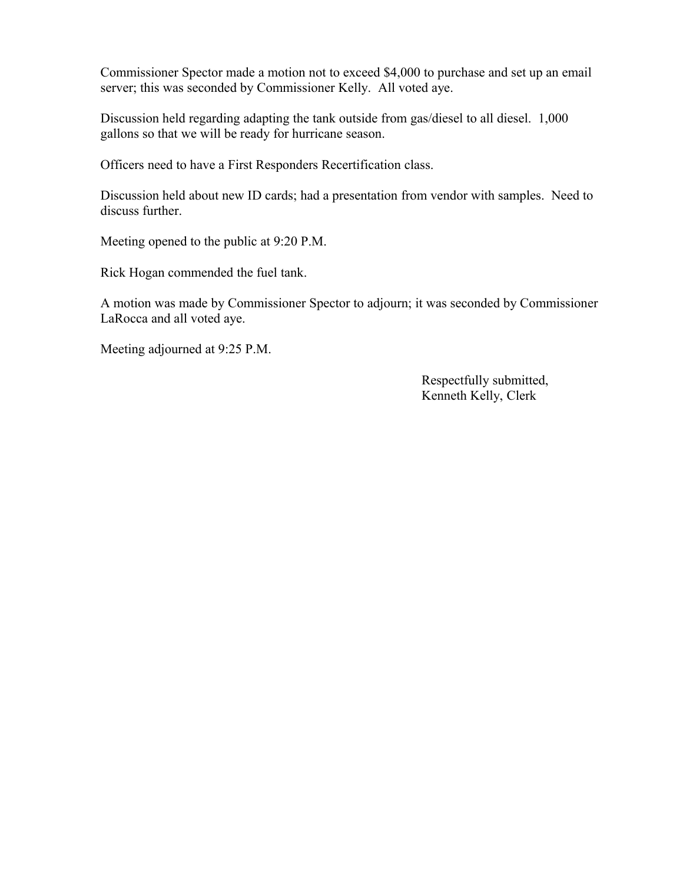Commissioner Spector made a motion not to exceed \$4,000 to purchase and set up an email server; this was seconded by Commissioner Kelly. All voted aye.

Discussion held regarding adapting the tank outside from gas/diesel to all diesel. 1,000 gallons so that we will be ready for hurricane season.

Officers need to have a First Responders Recertification class.

Discussion held about new ID cards; had a presentation from vendor with samples. Need to discuss further.

Meeting opened to the public at 9:20 P.M.

Rick Hogan commended the fuel tank.

A motion was made by Commissioner Spector to adjourn; it was seconded by Commissioner LaRocca and all voted aye.

Meeting adjourned at 9:25 P.M.

 Respectfully submitted, Kenneth Kelly, Clerk